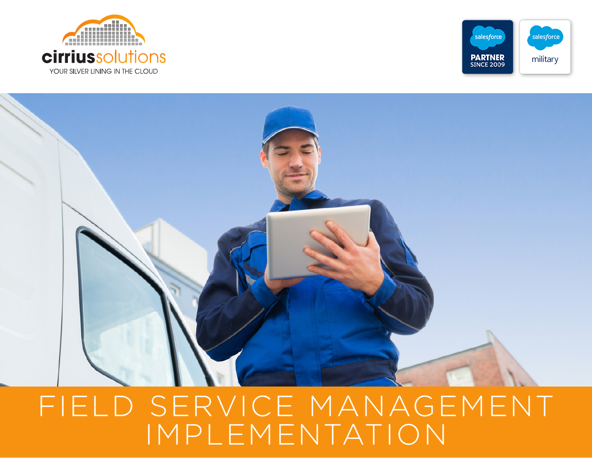





# FIELD SERVICE MANAGEMENT IMPLEMENTATION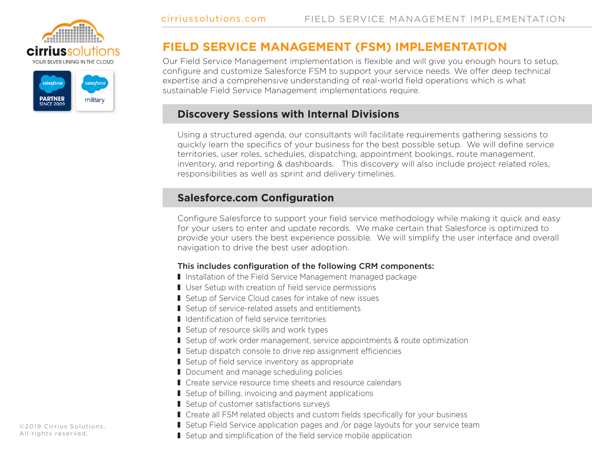



## **FIELD SERVICE MANAGEMENT (FSM) IMPLEMENTATION**

Our Field Service Management implementation is flexible and will give you enough hours to setup, configure and customize Salesforce FSM to support your service needs. We offer deep technical expertise and a comprehensive understanding of real-world field operations which is what sustainable Field Service Management implementations require.

#### **Discovery Sessions with Internal Divisions**

Using a structured agenda, our consultants will facilitate requirements gathering sessions to quickly learn the specifics of your business for the best possible setup. We will define service territories, user roles, schedules, dispatching, appointment bookings, route management, inventory, and reporting & dashboards. This discovery will also include project related roles, responsibilities as well as sprint and delivery timelines.

#### **Salesforce.com Configuration**

Configure Salesforce to support your field service methodology while making it quick and easy for your users to enter and update records. We make certain that Salesforce is optimized to provide your users the best experience possible. We will simplify the user interface and overall navigation to drive the best user adoption.

#### This includes configuration of the following CRM components:

- I Installation of the Field Service Management managed package
- User Setup with creation of field service permissions
- Setup of Service Cloud cases for intake of new issues
- Setup of service-related assets and entitlements
- I Identification of field service territories
- $\blacksquare$  Setup of resource skills and work types
- **I** Setup of work order management, service appointments & route optimization
- Setup dispatch console to drive rep assignment efficiencies
- $\blacksquare$  Setup of field service inventory as appropriate
- Document and manage scheduling policies
- Create service resource time sheets and resource calendars
- $\blacksquare$  Setup of billing, invoicing and payment applications
- Setup of customer satisfactions surveys
- Create all FSM related objects and custom fields specifically for your business
- **I** Setup Field Service application pages and /or page layouts for your service team

©2019 Cirrius Solutions. All rights reserved.

**I** Setup and simplification of the field service mobile application